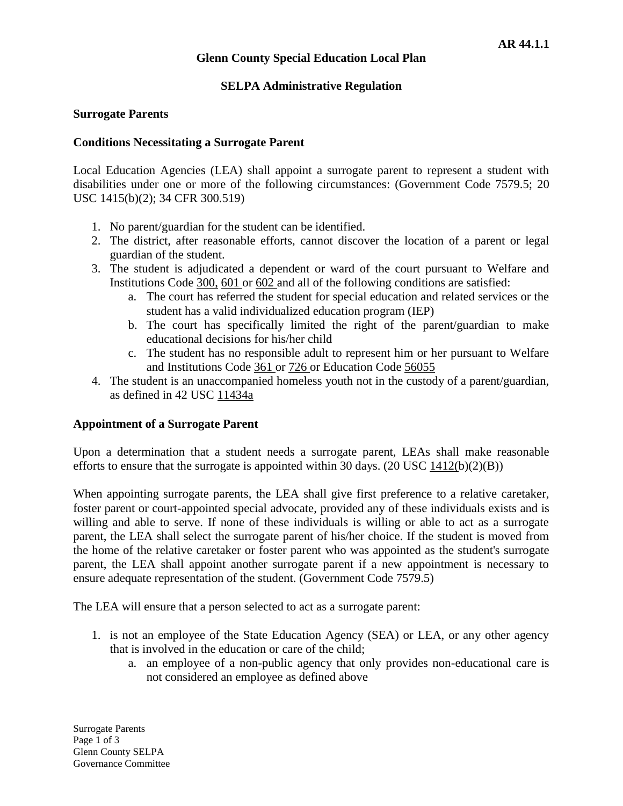# **Glenn County Special Education Local Plan**

# **SELPA Administrative Regulation**

### **Surrogate Parents**

### **Conditions Necessitating a Surrogate Parent**

Local Education Agencies (LEA) shall appoint a surrogate parent to represent a student with disabilities under one or more of the following circumstances: (Government Code [7579.5;](http://www.gamutonline.net/4daction/web_loaddisplaypolicy/144509/6) 20 USC [1415\(b](http://www.gamutonline.net/4daction/web_loaddisplaypolicy/364374/6))(2); 34 CFR [300.519\)](http://www.gamutonline.net/4daction/web_loaddisplaypolicy/191626/6)

- 1. No parent/guardian for the student can be identified.
- 2. The district, after reasonable efforts, cannot discover the location of a parent or legal guardian of the student.
- 3. The student is adjudicated a dependent or ward of the court pursuant to Welfare and Institutions Code [300,](http://www.gamutonline.net/4daction/web_loaddisplaypolicy/226436/6) [601 o](http://www.gamutonline.net/4daction/web_loaddisplaypolicy/194765/6)r [602 a](http://www.gamutonline.net/4daction/web_loaddisplaypolicy/194768/6)nd all of the following conditions are satisfied:
	- a. The court has referred the student for special education and related services or the student has a valid individualized education program (IEP)
	- b. The court has specifically limited the right of the parent/guardian to make educational decisions for his/her child
	- c. The student has no responsible adult to represent him or her pursuant to Welfare and Institutions Code [361 o](http://www.gamutonline.net/4daction/web_loaddisplaypolicy/195026/6)r [726 o](http://www.gamutonline.net/4daction/web_loaddisplaypolicy/194839/6)r Education Code [56055](http://www.gamutonline.net/4daction/web_loaddisplaypolicy/248982/6)
- 4. The student is an unaccompanied homeless youth not in the custody of a parent/guardian, as defined in 42 USC [11434a](http://www.gamutonline.net/4daction/web_loaddisplaypolicy/191748/6)

# **Appointment of a Surrogate Parent**

Upon a determination that a student needs a surrogate parent, LEAs shall make reasonable efforts to ensure that the surrogate is appointed within 30 days.  $(20 \text{ USC } 1412(b)(2)(B))$  $(20 \text{ USC } 1412(b)(2)(B))$  $(20 \text{ USC } 1412(b)(2)(B))$ 

When appointing surrogate parents, the LEA shall give first preference to a relative caretaker, foster parent or court-appointed special advocate, provided any of these individuals exists and is willing and able to serve. If none of these individuals is willing or able to act as a surrogate parent, the LEA shall select the surrogate parent of his/her choice. If the student is moved from the home of the relative caretaker or foster parent who was appointed as the student's surrogate parent, the LEA shall appoint another surrogate parent if a new appointment is necessary to ensure adequate representation of the student. (Government Code [7579.5\)](http://www.gamutonline.net/4daction/web_loaddisplaypolicy/144509/6)

The LEA will ensure that a person selected to act as a surrogate parent:

- 1. is not an employee of the State Education Agency (SEA) or LEA, or any other agency that is involved in the education or care of the child;
	- a. an employee of a non-public agency that only provides non-educational care is not considered an employee as defined above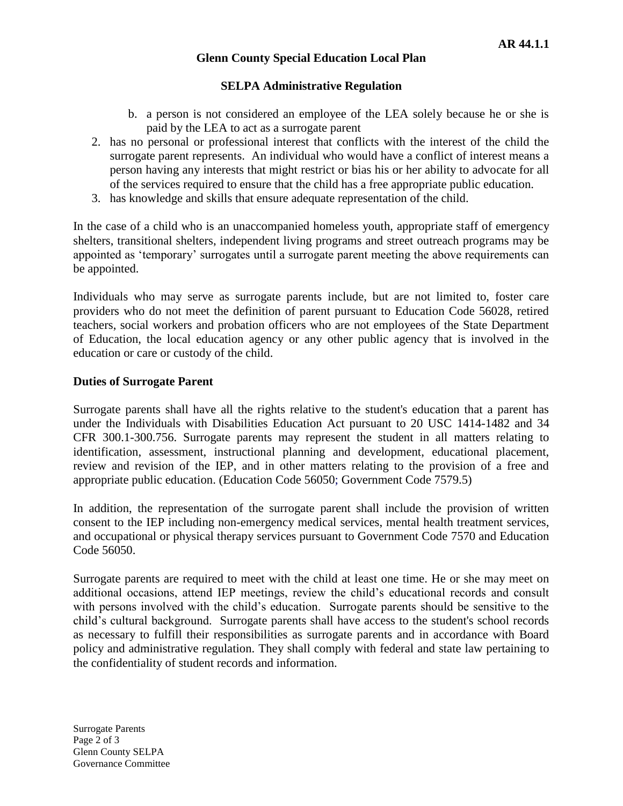# **Glenn County Special Education Local Plan**

# **SELPA Administrative Regulation**

- b. a person is not considered an employee of the LEA solely because he or she is paid by the LEA to act as a surrogate parent
- 2. has no personal or professional interest that conflicts with the interest of the child the surrogate parent represents. An individual who would have a conflict of interest means a person having any interests that might restrict or bias his or her ability to advocate for all of the services required to ensure that the child has a free appropriate public education.
- 3. has knowledge and skills that ensure adequate representation of the child.

In the case of a child who is an unaccompanied homeless youth, appropriate staff of emergency shelters, transitional shelters, independent living programs and street outreach programs may be appointed as 'temporary' surrogates until a surrogate parent meeting the above requirements can be appointed.

Individuals who may serve as surrogate parents include, but are not limited to, foster care providers who do not meet the definition of parent pursuant to Education Code 56028, retired teachers, social workers and probation officers who are not employees of the State Department of Education, the local education agency or any other public agency that is involved in the education or care or custody of the child.

# **Duties of Surrogate Parent**

Surrogate parents shall have all the rights relative to the student's education that a parent has under the Individuals with Disabilities Education Act pursuant to 20 USC [1414-1482 a](http://www.gamutonline.net/4daction/web_loaddisplaypolicy/364373/6)nd 34 CFR [300.1-300.756.](http://www.gamutonline.net/4daction/web_loaddisplaypolicy/191419/6) Surrogate parents may represent the student in all matters relating to identification, assessment, instructional planning and development, educational placement, review and revision of the IEP, and in other matters relating to the provision of a free and appropriate public education. (Education Code [56050;](http://www.gamutonline.net/4daction/web_loaddisplaypolicy/138016/6) Government Code [7579.5\)](http://www.gamutonline.net/4daction/web_loaddisplaypolicy/144509/6)

In addition, the representation of the surrogate parent shall include the provision of written consent to the IEP including non-emergency medical services, mental health treatment services, and occupational or physical therapy services pursuant to Government Code [7570](http://www.gamutonline.net/4daction/web_loaddisplaypolicy/146521/6) and Education Code 56050.

Surrogate parents are required to meet with the child at least one time. He or she may meet on additional occasions, attend IEP meetings, review the child's educational records and consult with persons involved with the child's education. Surrogate parents should be sensitive to the child's cultural background. Surrogate parents shall have access to the student's school records as necessary to fulfill their responsibilities as surrogate parents and in accordance with Board policy and administrative regulation. They shall comply with federal and state law pertaining to the confidentiality of student records and information.

Surrogate Parents Page 2 of 3 Glenn County SELPA Governance Committee